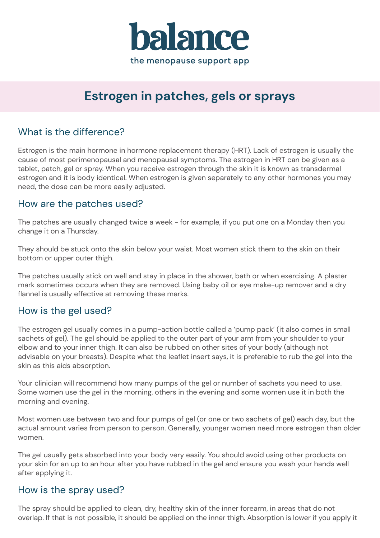

# **Estrogen in patches, gels or sprays**

## What is the difference?

Estrogen is the main hormone in hormone replacement therapy (HRT). Lack of estrogen is usually the cause of most perimenopausal and menopausal symptoms. The estrogen in HRT can be given as a tablet, patch, gel or spray. When you receive estrogen through the skin it is known as transdermal estrogen and it is body identical. When estrogen is given separately to any other hormones you may need, the dose can be more easily adjusted.

### How are the patches used?

The patches are usually changed twice a week - for example, if you put one on a Monday then you change it on a Thursday.

They should be stuck onto the skin below your waist. Most women stick them to the skin on their bottom or upper outer thigh.

The patches usually stick on well and stay in place in the shower, bath or when exercising. A plaster mark sometimes occurs when they are removed. Using baby oil or eye make-up remover and a dry flannel is usually effective at removing these marks.

#### How is the gel used?

The estrogen gel usually comes in a pump-action bottle called a 'pump pack' (it also comes in small sachets of gel). The gel should be applied to the outer part of your arm from your shoulder to your elbow and to your inner thigh. It can also be rubbed on other sites of your body (although not advisable on your breasts). Despite what the leaflet insert says, it is preferable to rub the gel into the skin as this aids absorption.

Your clinician will recommend how many pumps of the gel or number of sachets you need to use. Some women use the gel in the morning, others in the evening and some women use it in both the morning and evening.

Most women use between two and four pumps of gel (or one or two sachets of gel) each day, but the actual amount varies from person to person. Generally, younger women need more estrogen than older women.

The gel usually gets absorbed into your body very easily. You should avoid using other products on your skin for an up to an hour after you have rubbed in the gel and ensure you wash your hands well after applying it.

### How is the spray used?

The spray should be applied to clean, dry, healthy skin of the inner forearm, in areas that do not overlap. If that is not possible, it should be applied on the inner thigh. Absorption is lower if you apply it